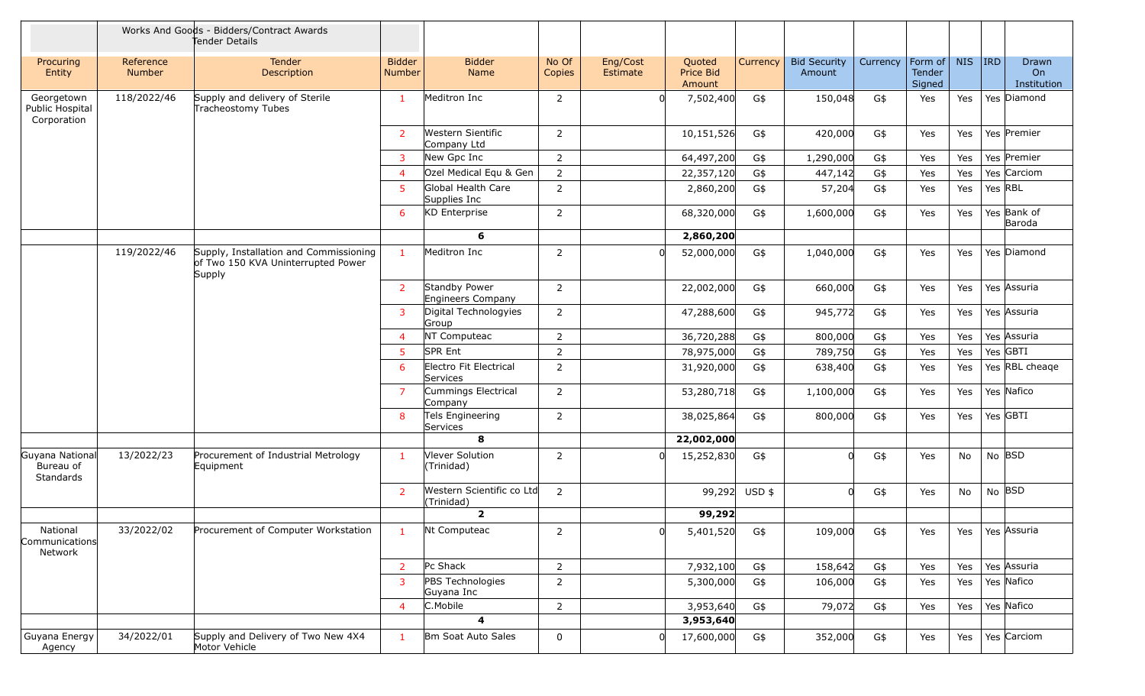|                                              |                            | Works And Goods - Bidders/Contract Awards<br>Tender Details                            |                                |                                           |                 |                      |                               |               |                               |          |                             |            |         |                            |
|----------------------------------------------|----------------------------|----------------------------------------------------------------------------------------|--------------------------------|-------------------------------------------|-----------------|----------------------|-------------------------------|---------------|-------------------------------|----------|-----------------------------|------------|---------|----------------------------|
| Procuring<br>Entity                          | Reference<br><b>Number</b> | Tender<br>Description                                                                  | <b>Bidder</b><br><b>Number</b> | <b>Bidder</b><br>Name                     | No Of<br>Copies | Eng/Cost<br>Estimate | Quoted<br>Price Bid<br>Amount | Currency      | <b>Bid Security</b><br>Amount | Currency | Form of<br>Tender<br>Signed | <b>NIS</b> | $ $ IRD | Drawn<br>On<br>Institution |
| Georgetown<br>Public Hospital<br>Corporation | 118/2022/46                | Supply and delivery of Sterile<br>Tracheostomy Tubes                                   | $\mathbf{1}$                   | Meditron Inc                              | 2               |                      | 7,502,400                     | G\$           | 150,048                       | G\$      | Yes                         | Yes        |         | Yes Diamond                |
|                                              |                            |                                                                                        | 2                              | Western Sientific<br>Company Ltd          | $\overline{2}$  |                      | 10,151,526                    | G\$           | 420,000                       | G\$      | Yes                         | Yes        |         | Yes Premier                |
|                                              |                            |                                                                                        | $\mathbf{3}$                   | New Gpc Inc                               | $\overline{2}$  |                      | 64,497,200                    | G\$           | 1,290,000                     | G\$      | Yes                         | Yes        |         | Yes Premier                |
|                                              |                            |                                                                                        | $\overline{4}$                 | Ozel Medical Equ & Gen                    | $\overline{2}$  |                      | 22,357,120                    | G\$           | 447,142                       | G\$      | Yes                         | Yes        |         | Yes Carciom                |
|                                              |                            |                                                                                        | 5 <sup>5</sup>                 | Global Health Care<br>Supplies Inc        | $\overline{2}$  |                      | 2,860,200                     | G\$           | 57,204                        | G\$      | Yes                         | Yes        | Yes RBL |                            |
|                                              |                            |                                                                                        | 6                              | <b>KD</b> Enterprise                      | $\overline{2}$  |                      | 68,320,000                    | G\$           | 1,600,000                     | G\$      | Yes                         | Yes        |         | Yes Bank of<br>Baroda      |
|                                              |                            |                                                                                        |                                | 6                                         |                 |                      | 2,860,200                     |               |                               |          |                             |            |         |                            |
|                                              | 119/2022/46                | Supply, Installation and Commissioning<br>of Two 150 KVA Uninterrupted Power<br>Supply | $\mathbf{1}$                   | Meditron Inc                              | $\overline{2}$  |                      | 52,000,000                    | G\$           | 1,040,000                     | G\$      | Yes                         | Yes        |         | Yes Diamond                |
|                                              |                            |                                                                                        | $\overline{2}$                 | Standby Power<br>Engineers Company        | $\overline{2}$  |                      | 22,002,000                    | G\$           | 660,000                       | G\$      | Yes                         | Yes        |         | Yes Assuria                |
|                                              |                            |                                                                                        | 3                              | Digital Technologyies<br>Group            | $\overline{2}$  |                      | 47,288,600                    | G\$           | 945,772                       | G\$      | Yes                         | Yes        |         | Yes Assuria                |
|                                              |                            |                                                                                        | $\overline{4}$                 | NT Computeac                              | $\overline{2}$  |                      | 36,720,288                    | G\$           | 800,000                       | G\$      | Yes                         | Yes        |         | Yes Assuria                |
|                                              |                            |                                                                                        | 5 <sup>5</sup>                 | <b>SPR Ent</b>                            | 2               |                      | 78,975,000                    | G\$           | 789,750                       | G\$      | Yes                         | Yes        |         | Yes GBTI                   |
|                                              |                            |                                                                                        | 6                              | Electro Fit Electrical<br><b>Services</b> | 2               |                      | 31,920,000                    | G\$           | 638,400                       | G\$      | Yes                         | Yes        |         | Yes RBL cheage             |
|                                              |                            |                                                                                        | $\overline{7}$                 | Cummings Electrical<br>Company            | $\overline{2}$  |                      | 53,280,718                    | G\$           | 1,100,000                     | G\$      | Yes                         | Yes        |         | Yes Nafico                 |
|                                              |                            |                                                                                        | 8                              | Tels Engineering<br>Services              | $\overline{2}$  |                      | 38,025,864                    | G\$           | 800,000                       | G\$      | Yes                         | Yes        |         | Yes GBTI                   |
|                                              |                            |                                                                                        |                                | 8                                         |                 |                      | 22,002,000                    |               |                               |          |                             |            |         |                            |
| Guyana National<br>Bureau of<br>Standards    | 13/2022/23                 | Procurement of Industrial Metrology<br>Equipment                                       | $\mathbf{1}$                   | Vlever Solution<br>(Trinidad)             | $\overline{2}$  |                      | 15,252,830                    | G\$           | 0l                            | G\$      | Yes                         | No         | No BSD  |                            |
|                                              |                            |                                                                                        | 2                              | Western Scientific co Ltd<br>(Trinidad)   | $\overline{2}$  |                      |                               | 99,292 USD \$ |                               | G\$      | Yes                         | No         | No BSD  |                            |
|                                              |                            |                                                                                        |                                | $\overline{2}$                            |                 |                      | 99,292                        |               |                               |          |                             |            |         |                            |
| National<br>Communications<br>Network        | 33/2022/02                 | Procurement of Computer Workstation                                                    | $\mathbf{1}$                   | Nt Computeac                              | $\overline{2}$  |                      | 5,401,520                     | G\$           | 109,000                       | $G$ \$   | Yes                         | Yes        |         | Yes Assuria                |
|                                              |                            |                                                                                        | $\overline{2}$                 | Pc Shack                                  | $\overline{2}$  |                      | 7,932,100                     | G\$           | 158,642                       | G\$      | Yes                         | Yes        |         | Yes Assuria                |
|                                              |                            |                                                                                        | 3                              | PBS Technologies<br>Guyana Inc            | $\overline{2}$  |                      | 5,300,000                     | G\$           | 106,000                       | G\$      | Yes                         | Yes        |         | Yes Nafico                 |
|                                              |                            |                                                                                        | $\overline{4}$                 | C.Mobile                                  | $\overline{2}$  |                      | 3,953,640                     | G\$           | 79,072                        | G\$      | Yes                         | Yes        |         | Yes Nafico                 |
|                                              |                            |                                                                                        |                                | $\overline{4}$                            |                 |                      | 3,953,640                     |               |                               |          |                             |            |         |                            |
| Guyana Energy<br>Agency                      | 34/2022/01                 | Supply and Delivery of Two New 4X4<br>Motor Vehicle                                    | $\mathbf{1}$                   | Bm Soat Auto Sales                        | 0               |                      | 17,600,000                    | G\$           | 352,000                       | G\$      | Yes                         | Yes        |         | Yes Carciom                |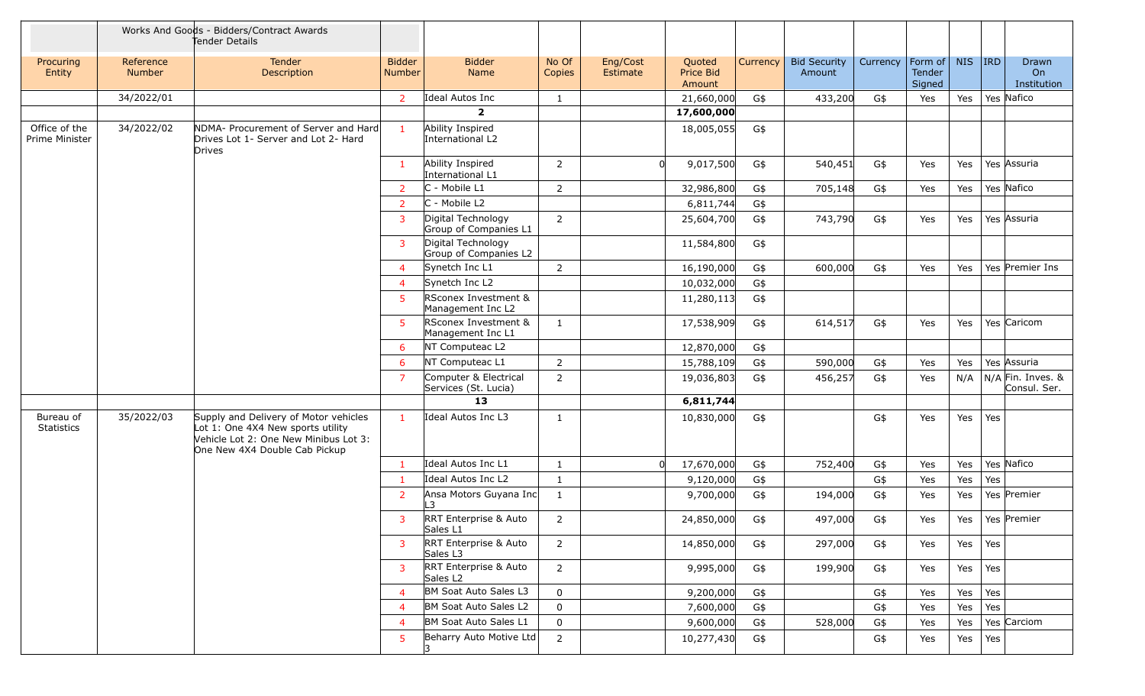|                                 | Works And Goods - Bidders/Contract Awards<br>Tender Details |                                                                                                                                                      |                         |                                               |                 |                      |                                      |          |                               |          |                                     |            |         |                                     |
|---------------------------------|-------------------------------------------------------------|------------------------------------------------------------------------------------------------------------------------------------------------------|-------------------------|-----------------------------------------------|-----------------|----------------------|--------------------------------------|----------|-------------------------------|----------|-------------------------------------|------------|---------|-------------------------------------|
| Procuring<br>Entity             | Reference<br><b>Number</b>                                  | Tender<br>Description                                                                                                                                | <b>Bidder</b><br>Number | <b>Bidder</b><br>Name                         | No Of<br>Copies | Eng/Cost<br>Estimate | Quoted<br><b>Price Bid</b><br>Amount | Currency | <b>Bid Security</b><br>Amount | Currency | Form of $\vert$<br>Tender<br>Signed | <b>NIS</b> | $ $ IRD | Drawn<br><b>On</b><br>Institution   |
|                                 | 34/2022/01                                                  |                                                                                                                                                      | $\overline{2}$          | Ideal Autos Inc                               | 1               |                      | 21,660,000                           | G\$      | 433,200                       | G\$      | Yes                                 | Yes        |         | Yes Nafico                          |
|                                 |                                                             |                                                                                                                                                      |                         | $\overline{2}$                                |                 |                      | 17,600,000                           |          |                               |          |                                     |            |         |                                     |
| Office of the<br>Prime Minister | 34/2022/02                                                  | NDMA- Procurement of Server and Hard<br>Drives Lot 1- Server and Lot 2- Hard<br><b>Drives</b>                                                        | $\mathbf{1}$            | Ability Inspired<br>International L2          |                 |                      | 18,005,055                           | G\$      |                               |          |                                     |            |         |                                     |
|                                 |                                                             |                                                                                                                                                      | $\mathbf{1}$            | Ability Inspired<br>International L1          | $\overline{2}$  | U                    | 9,017,500                            | G\$      | 540,451                       | G\$      | Yes                                 | Yes        |         | Yes Assuria                         |
|                                 |                                                             |                                                                                                                                                      | $\overline{2}$          | C - Mobile L1                                 | $\overline{2}$  |                      | 32,986,800                           | G\$      | 705,148                       | G\$      | Yes                                 | Yes        |         | Yes Nafico                          |
|                                 |                                                             |                                                                                                                                                      | $\overline{2}$          | C - Mobile L2                                 |                 |                      | 6,811,744                            | G\$      |                               |          |                                     |            |         |                                     |
|                                 |                                                             |                                                                                                                                                      | 3                       | Digital Technology<br>Group of Companies L1   | $\overline{2}$  |                      | 25,604,700                           | G\$      | 743,790                       | G\$      | Yes                                 | Yes        |         | Yes Assuria                         |
|                                 |                                                             |                                                                                                                                                      | 3                       | Digital Technology<br>Group of Companies L2   |                 |                      | 11,584,800                           | G\$      |                               |          |                                     |            |         |                                     |
|                                 |                                                             |                                                                                                                                                      | 4                       | Synetch Inc L1                                | $\overline{2}$  |                      | 16,190,000                           | G\$      | 600,000                       | G\$      | Yes                                 | Yes        |         | Yes Premier Ins                     |
|                                 |                                                             |                                                                                                                                                      | 4                       | Synetch Inc L2                                |                 |                      | 10,032,000                           | G\$      |                               |          |                                     |            |         |                                     |
|                                 |                                                             |                                                                                                                                                      | 5                       | RSconex Investment &<br>Management Inc L2     |                 |                      | 11,280,113                           | G\$      |                               |          |                                     |            |         |                                     |
|                                 |                                                             |                                                                                                                                                      | 5.                      | RSconex Investment &<br>Management Inc L1     | 1               |                      | 17,538,909                           | G\$      | 614,517                       | G\$      | Yes                                 | Yes        |         | Yes Caricom                         |
|                                 |                                                             |                                                                                                                                                      | 6                       | NT Computeac L2                               |                 |                      | 12,870,000                           | G\$      |                               |          |                                     |            |         |                                     |
|                                 |                                                             |                                                                                                                                                      | 6                       | NT Computeac L1                               | $\overline{2}$  |                      | 15,788,109                           | G\$      | 590,000                       | G\$      | Yes                                 | Yes        |         | Yes Assuria                         |
|                                 |                                                             |                                                                                                                                                      | $\overline{7}$          | Computer & Electrical<br>Services (St. Lucia) | $\overline{2}$  |                      | 19,036,803                           | G\$      | 456,257                       | G\$      | Yes                                 | N/A        |         | $N/A$ Fin. Inves. &<br>Consul. Ser. |
|                                 |                                                             |                                                                                                                                                      |                         | 13                                            |                 |                      | 6,811,744                            |          |                               |          |                                     |            |         |                                     |
| Bureau of<br><b>Statistics</b>  | 35/2022/03                                                  | Supply and Delivery of Motor vehicles<br>Lot 1: One 4X4 New sports utility<br>Vehicle Lot 2: One New Minibus Lot 3:<br>One New 4X4 Double Cab Pickup | $\mathbf{1}$            | Ideal Autos Inc L3                            | $\mathbf{1}$    |                      | 10,830,000                           | G\$      |                               | G\$      | Yes                                 | Yes        | Yes     |                                     |
|                                 |                                                             |                                                                                                                                                      | 1                       | Ideal Autos Inc L1                            | $\mathbf{1}$    | 0l                   | 17,670,000                           | G\$      | 752,400                       | G\$      | Yes                                 | Yes        |         | Yes Nafico                          |
|                                 |                                                             |                                                                                                                                                      | 1                       | Ideal Autos Inc L2                            | $\mathbf{1}$    |                      | 9,120,000                            | G\$      |                               | G\$      | Yes                                 | Yes        | Yes     |                                     |
|                                 |                                                             |                                                                                                                                                      | $\overline{2}$          | Ansa Motors Guyana Inc<br>L3                  | $\mathbf{1}$    |                      | 9,700,000                            | G\$      | 194,000                       | G\$      | Yes                                 | Yes        |         | Yes Premier                         |
|                                 |                                                             |                                                                                                                                                      | 3                       | RRT Enterprise & Auto<br>Sales L1             | $\overline{2}$  |                      | 24,850,000                           | G\$      | 497,000                       | G\$      | Yes                                 | Yes        |         | Yes Premier                         |
|                                 |                                                             |                                                                                                                                                      | 3                       | RRT Enterprise & Auto<br>Sales L3             | $\overline{2}$  |                      | 14,850,000                           | G\$      | 297,000                       | G\$      | Yes                                 | Yes        | Yes     |                                     |
|                                 |                                                             |                                                                                                                                                      | 3                       | RRT Enterprise & Auto<br>Sales L <sub>2</sub> | $\overline{2}$  |                      | 9,995,000                            | G\$      | 199,900                       | G\$      | Yes                                 | Yes        | Yes     |                                     |
|                                 |                                                             |                                                                                                                                                      | 4                       | BM Soat Auto Sales L3                         | $\mathbf 0$     |                      | 9,200,000                            | G\$      |                               | G\$      | Yes                                 | Yes        | Yes     |                                     |
|                                 |                                                             |                                                                                                                                                      | 4                       | BM Soat Auto Sales L2                         | $\mathbf 0$     |                      | 7,600,000                            | G\$      |                               | G\$      | Yes                                 | Yes        | Yes     |                                     |
|                                 |                                                             |                                                                                                                                                      | 4                       | BM Soat Auto Sales L1                         | $\mathbf 0$     |                      | 9,600,000                            | G\$      | 528,000                       | G\$      | Yes                                 | Yes        |         | Yes Carciom                         |
|                                 |                                                             |                                                                                                                                                      | 5.                      | Beharry Auto Motive Ltd                       | $\overline{2}$  |                      | 10,277,430                           | G\$      |                               | G\$      | Yes                                 | Yes        | Yes     |                                     |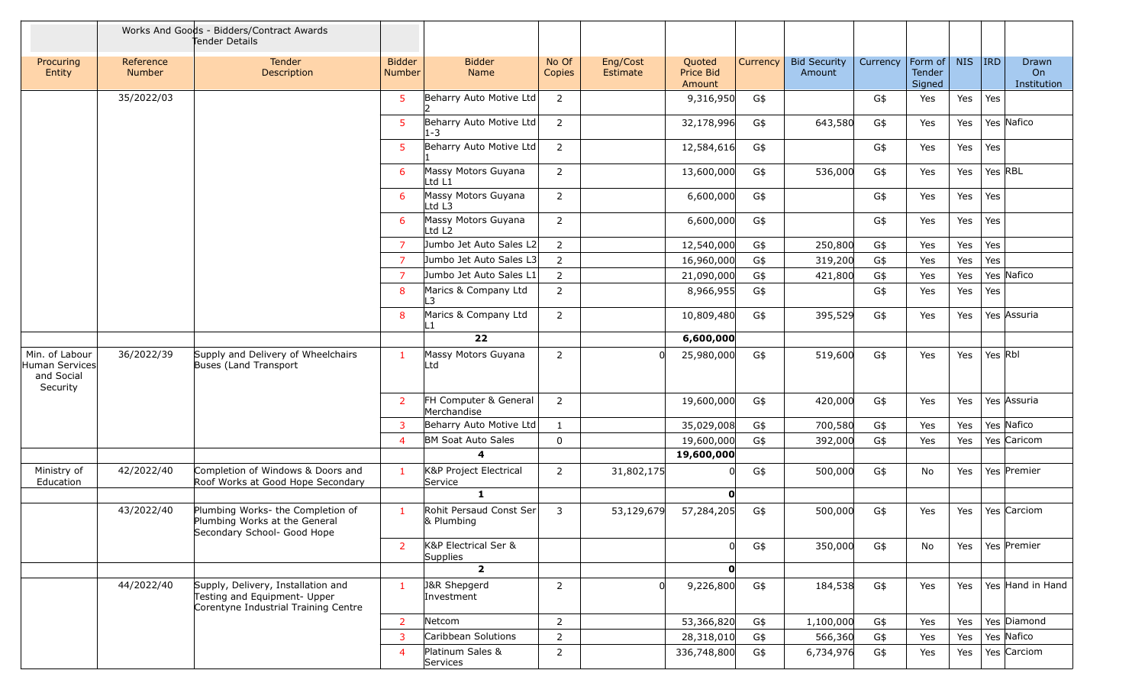|                                                            | Works And Goods - Bidders/Contract Awards<br>Tender Details |                                                                                                            |                                |                                         |                 |                      |                               |          |                               |          |                             |            |            |                            |
|------------------------------------------------------------|-------------------------------------------------------------|------------------------------------------------------------------------------------------------------------|--------------------------------|-----------------------------------------|-----------------|----------------------|-------------------------------|----------|-------------------------------|----------|-----------------------------|------------|------------|----------------------------|
| Procuring<br>Entity                                        | Reference<br>Number                                         | <b>Tender</b><br>Description                                                                               | <b>Bidder</b><br><b>Number</b> | <b>Bidder</b><br>Name                   | No Of<br>Copies | Eng/Cost<br>Estimate | Quoted<br>Price Bid<br>Amount | Currency | <b>Bid Security</b><br>Amount | Currency | Form of<br>Tender<br>Signed | <b>NIS</b> | <b>IRD</b> | Drawn<br>On<br>Institution |
|                                                            | 35/2022/03                                                  |                                                                                                            | 5 <sup>5</sup>                 | Beharry Auto Motive Ltd                 | $\overline{2}$  |                      | 9,316,950                     | G\$      |                               | G\$      | Yes                         | Yes        | Yes        |                            |
|                                                            |                                                             |                                                                                                            | 5 <sup>5</sup>                 | Beharry Auto Motive Ltd<br>$1 - 3$      | $\overline{2}$  |                      | 32,178,996                    | G\$      | 643,580                       | G\$      | Yes                         | Yes        |            | Yes Nafico                 |
|                                                            |                                                             |                                                                                                            | 5                              | Beharry Auto Motive Ltd                 | $\overline{2}$  |                      | 12,584,616                    | G\$      |                               | G\$      | Yes                         | Yes        | Yes        |                            |
|                                                            |                                                             |                                                                                                            | 6                              | Massy Motors Guyana<br>Ltd L1           | $\overline{2}$  |                      | 13,600,000                    | G\$      | 536,000                       | G\$      | Yes                         | Yes        |            | Yes RBL                    |
|                                                            |                                                             |                                                                                                            | 6                              | Massy Motors Guyana<br>Ltd L3           | $\overline{2}$  |                      | 6,600,000                     | G\$      |                               | G\$      | Yes                         | Yes        | Yes        |                            |
|                                                            |                                                             |                                                                                                            | 6                              | Massy Motors Guyana<br>Ltd L2           | $\overline{2}$  |                      | 6,600,000                     | G\$      |                               | G\$      | Yes                         | Yes        | Yes        |                            |
|                                                            |                                                             |                                                                                                            | $\overline{7}$                 | Jumbo Jet Auto Sales L2                 | $\overline{2}$  |                      | 12,540,000                    | G\$      | 250,800                       | G\$      | Yes                         | Yes        | Yes        |                            |
|                                                            |                                                             |                                                                                                            | $\overline{7}$                 | Jumbo Jet Auto Sales L3                 | $\overline{2}$  |                      | 16,960,000                    | G\$      | 319,200                       | G\$      | Yes                         | Yes        | Yes        |                            |
|                                                            |                                                             |                                                                                                            | $\overline{7}$                 | Jumbo Jet Auto Sales L1                 | $\overline{2}$  |                      | 21,090,000                    | G\$      | 421,800                       | G\$      | Yes                         | Yes        |            | Yes Nafico                 |
|                                                            |                                                             |                                                                                                            | 8                              | Marics & Company Ltd<br>L3              | $\overline{2}$  |                      | 8,966,955                     | G\$      |                               | G\$      | Yes                         | Yes        | Yes        |                            |
|                                                            |                                                             |                                                                                                            | 8                              | Marics & Company Ltd<br>L1              | $\overline{2}$  |                      | 10,809,480                    | G\$      | 395,529                       | G\$      | Yes                         | Yes        |            | Yes Assuria                |
|                                                            |                                                             |                                                                                                            |                                | 22                                      |                 |                      | 6,600,000                     |          |                               |          |                             |            |            |                            |
| Min. of Labour<br>Human Services<br>and Social<br>Security | 36/2022/39                                                  | Supply and Delivery of Wheelchairs<br>Buses (Land Transport                                                | $\mathbf{1}$                   | Massy Motors Guyana<br>Ltd              | $\overline{2}$  |                      | 25,980,000                    | G\$      | 519,600                       | G\$      | Yes                         | Yes        | Yes Rbl    |                            |
|                                                            |                                                             |                                                                                                            | <sup>2</sup>                   | FH Computer & General<br>Merchandise    | $\overline{2}$  |                      | 19,600,000                    | G\$      | 420,000                       | G\$      | Yes                         | Yes        |            | Yes Assuria                |
|                                                            |                                                             |                                                                                                            | $\mathbf{3}$                   | Beharry Auto Motive Ltd                 | $\mathbf{1}$    |                      | 35,029,008                    | G\$      | 700,580                       | G\$      | Yes                         | Yes        |            | Yes Nafico                 |
|                                                            |                                                             |                                                                                                            | $\overline{4}$                 | <b>BM Soat Auto Sales</b>               | $\mathbf 0$     |                      | 19,600,000                    | G\$      | 392,000                       | G\$      | Yes                         | Yes        |            | Yes Caricom                |
|                                                            |                                                             |                                                                                                            |                                | $\overline{\mathbf{4}}$                 |                 |                      | 19,600,000                    |          |                               |          |                             |            |            |                            |
| Ministry of<br>Education                                   | 42/2022/40                                                  | Completion of Windows & Doors and<br>Roof Works at Good Hope Secondary                                     | $\mathbf{1}$                   | K&P Project Electrical<br>Service       | $\overline{2}$  | 31,802,175           | $\Omega$                      | G\$      | 500,000                       | G\$      | No                          | Yes        |            | Yes Premier                |
|                                                            |                                                             |                                                                                                            |                                | $\mathbf{1}$                            |                 |                      | O                             |          |                               |          |                             |            |            |                            |
|                                                            | 43/2022/40                                                  | Plumbing Works- the Completion of<br>Plumbing Works at the General<br>Secondary School- Good Hope          |                                | Rohit Persaud Const Ser<br>& Plumbing   | 3               | 53,129,679           | 57,284,205                    | G\$      | 500,000                       | G\$      | Yes                         | Yes        |            | Yes Carciom                |
|                                                            |                                                             |                                                                                                            | <sup>2</sup>                   | K&P Electrical Ser &<br><b>Supplies</b> |                 |                      | <sup>0</sup>                  | G\$      | 350,000                       | G\$      | No                          | Yes        |            | Yes Premier                |
|                                                            |                                                             |                                                                                                            |                                | $\overline{\mathbf{2}}$                 |                 |                      | $\mathbf{0}$                  |          |                               |          |                             |            |            |                            |
|                                                            | 44/2022/40                                                  | Supply, Delivery, Installation and<br>Testing and Equipment- Upper<br>Corentyne Industrial Training Centre | $\mathbf{1}$                   | J&R Shepgerd<br>Investment              | $\overline{2}$  |                      | 9,226,800                     | G\$      | 184,538                       | G\$      | Yes                         | Yes        |            | Yes Hand in Hand           |
|                                                            |                                                             |                                                                                                            | $\overline{2}$                 | Netcom                                  | $\overline{2}$  |                      | 53,366,820                    | G\$      | 1,100,000                     | G\$      | Yes                         | Yes        |            | Yes Diamond                |
|                                                            |                                                             |                                                                                                            | $\overline{3}$                 | Caribbean Solutions                     | $\overline{2}$  |                      | 28,318,010                    | G\$      | 566,360                       | G\$      | Yes                         | Yes        |            | Yes Nafico                 |
|                                                            |                                                             |                                                                                                            | $\overline{4}$                 | Platinum Sales &<br>Services            | $\overline{2}$  |                      | 336,748,800                   | G\$      | 6,734,976                     | G\$      | Yes                         | Yes        |            | Yes Carciom                |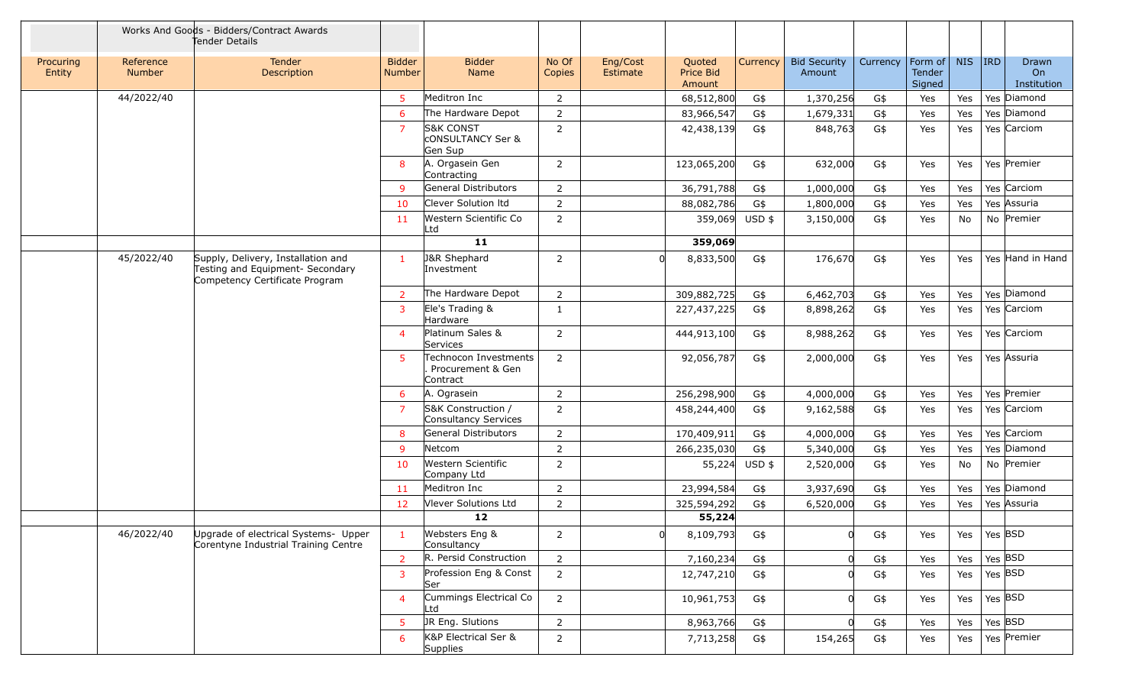|                     | Works And Goods - Bidders/Contract Awards<br>Tender Details |                                                                                                          |                                |                                                                 |                 |                      |                               |          |                               |          |                             |            |            |                                   |
|---------------------|-------------------------------------------------------------|----------------------------------------------------------------------------------------------------------|--------------------------------|-----------------------------------------------------------------|-----------------|----------------------|-------------------------------|----------|-------------------------------|----------|-----------------------------|------------|------------|-----------------------------------|
| Procuring<br>Entity | Reference<br>Number                                         | <b>Tender</b><br>Description                                                                             | <b>Bidder</b><br><b>Number</b> | <b>Bidder</b><br>Name                                           | No Of<br>Copies | Eng/Cost<br>Estimate | Quoted<br>Price Bid<br>Amount | Currency | <b>Bid Security</b><br>Amount | Currency | Form of<br>Tender<br>Signed | <b>NIS</b> | <b>IRD</b> | <b>Drawn</b><br>On<br>Institution |
|                     | 44/2022/40                                                  |                                                                                                          | 5                              | Meditron Inc                                                    | $\overline{2}$  |                      | 68,512,800                    | G\$      | 1,370,256                     | G\$      | Yes                         | Yes        |            | Yes Diamond                       |
|                     |                                                             |                                                                                                          | 6                              | The Hardware Depot                                              | $\overline{2}$  |                      | 83,966,547                    | G\$      | 1,679,331                     | G\$      | Yes                         | Yes        |            | Yes Diamond                       |
|                     |                                                             |                                                                                                          | 7                              | <b>S&amp;K CONST</b><br><b>CONSULTANCY Ser &amp;</b><br>Gen Sup | 2               |                      | 42,438,139                    | G\$      | 848,763                       | G\$      | Yes                         | Yes        |            | Yes Carciom                       |
|                     |                                                             |                                                                                                          | 8                              | A. Orgasein Gen<br>Contracting                                  | $\overline{2}$  |                      | 123,065,200                   | G\$      | 632,000                       | G\$      | Yes                         | Yes        |            | Yes Premier                       |
|                     |                                                             |                                                                                                          | -9                             | General Distributors                                            | $\overline{2}$  |                      | 36,791,788                    | G\$      | 1,000,000                     | G\$      | Yes                         | Yes        |            | Yes Carciom                       |
|                     |                                                             |                                                                                                          | 10                             | Clever Solution Itd                                             | 2               |                      | 88,082,786                    | G\$      | 1,800,000                     | G\$      | Yes                         | Yes        |            | Yes Assuria                       |
|                     |                                                             |                                                                                                          | 11                             | Western Scientific Co<br>Ltd                                    | $\overline{2}$  |                      | 359,069                       | $USD$ \$ | 3,150,000                     | G\$      | Yes                         | No         |            | No Premier                        |
|                     |                                                             |                                                                                                          |                                | 11                                                              |                 |                      | 359,069                       |          |                               |          |                             |            |            |                                   |
|                     | 45/2022/40                                                  | Supply, Delivery, Installation and<br>Testing and Equipment- Secondary<br>Competency Certificate Program | $\mathbf{1}$                   | <b>J&amp;R Shephard</b><br>Investment                           | $\overline{2}$  |                      | 8,833,500                     | G\$      | 176,670                       | G\$      | Yes                         | Yes        |            | Yes Hand in Hand                  |
|                     |                                                             |                                                                                                          | -2                             | The Hardware Depot                                              | $\overline{2}$  |                      | 309,882,725                   | G\$      | 6,462,703                     | G\$      | Yes                         | Yes        |            | Yes Diamond                       |
|                     |                                                             |                                                                                                          | 3                              | Ele's Trading &<br>Hardware                                     | 1               |                      | 227,437,225                   | G\$      | 8,898,262                     | G\$      | Yes                         | Yes        |            | Yes Carciom                       |
|                     |                                                             |                                                                                                          | $\overline{4}$                 | Platinum Sales &<br>Services                                    | $\overline{2}$  |                      | 444,913,100                   | G\$      | 8,988,262                     | G\$      | Yes                         | Yes        |            | Yes Carciom                       |
|                     |                                                             |                                                                                                          | -51                            | Technocon Investments<br>Procurement & Gen<br>Contract          | $\overline{2}$  |                      | 92,056,787                    | G\$      | 2,000,000                     | G\$      | Yes                         | Yes        |            | Yes Assuria                       |
|                     |                                                             |                                                                                                          | 6                              | A. Ograsein                                                     | $\overline{2}$  |                      | 256,298,900                   | G\$      | 4,000,000                     | G\$      | Yes                         | Yes        |            | Yes Premier                       |
|                     |                                                             |                                                                                                          | $\overline{7}$                 | S&K Construction /<br>Consultancy Services                      | $\overline{2}$  |                      | 458,244,400                   | G\$      | 9,162,588                     | G\$      | Yes                         | Yes        |            | Yes Carciom                       |
|                     |                                                             |                                                                                                          | 8                              | General Distributors                                            | $\overline{2}$  |                      | 170,409,911                   | G\$      | 4,000,000                     | G\$      | Yes                         | Yes        |            | Yes Carciom                       |
|                     |                                                             |                                                                                                          | -9                             | Netcom                                                          | $\overline{2}$  |                      | 266,235,030                   | G\$      | 5,340,000                     | G\$      | Yes                         | Yes        |            | Yes Diamond                       |
|                     |                                                             |                                                                                                          | 10                             | Western Scientific<br>Company Ltd                               | $\overline{2}$  |                      | 55,224                        | $USD$ \$ | 2,520,000                     | G\$      | Yes                         | No         |            | No Premier                        |
|                     |                                                             |                                                                                                          | 11                             | Meditron Inc                                                    | $\overline{2}$  |                      | 23,994,584                    | G\$      | 3,937,690                     | G\$      | Yes                         | Yes        |            | Yes Diamond                       |
|                     |                                                             |                                                                                                          | 12                             | Vlever Solutions Ltd                                            | 2               |                      | 325,594,292                   | G\$      | 6,520,000                     | G\$      | Yes                         | Yes        |            | Yes Assuria                       |
|                     |                                                             |                                                                                                          |                                | $12$                                                            |                 |                      | 55,224                        |          |                               |          |                             |            |            |                                   |
|                     | 46/2022/40                                                  | Upgrade of electrical Systems- Upper<br>Corentyne Industrial Training Centre                             | $\mathbf{1}$                   | Websters Eng &<br>Consultancy                                   | $\overline{2}$  | 0                    | 8,109,793                     | G\$      | 0                             | G\$      | Yes                         | Yes        | Yes BSD    |                                   |
|                     |                                                             |                                                                                                          | $\overline{2}$                 | R. Persid Construction                                          | $\overline{2}$  |                      | 7,160,234                     | G\$      |                               | G\$      | Yes                         | Yes        |            | $Yes$ $BSD$                       |
|                     |                                                             |                                                                                                          | $\overline{3}$                 | Profession Eng & Const<br>Ser                                   | $\overline{2}$  |                      | 12,747,210                    | G\$      |                               | G\$      | Yes                         | Yes        |            | Yes $ $ BSD                       |
|                     |                                                             |                                                                                                          | $\overline{4}$                 | Cummings Electrical Co<br>Ltd                                   | $\overline{2}$  |                      | 10,961,753                    | G\$      |                               | G\$      | Yes                         | Yes        |            | Yes BSD                           |
|                     |                                                             |                                                                                                          | $5\phantom{.0}$                | JR Eng. Slutions                                                | $\overline{2}$  |                      | 8,963,766                     | G\$      |                               | G\$      | Yes                         | Yes        |            | Yes BSD                           |
|                     |                                                             |                                                                                                          | 6                              | K&P Electrical Ser &<br>Supplies                                | $\overline{2}$  |                      | 7,713,258                     | G\$      | 154,265                       | G\$      | Yes                         | Yes        |            | Yes Premier                       |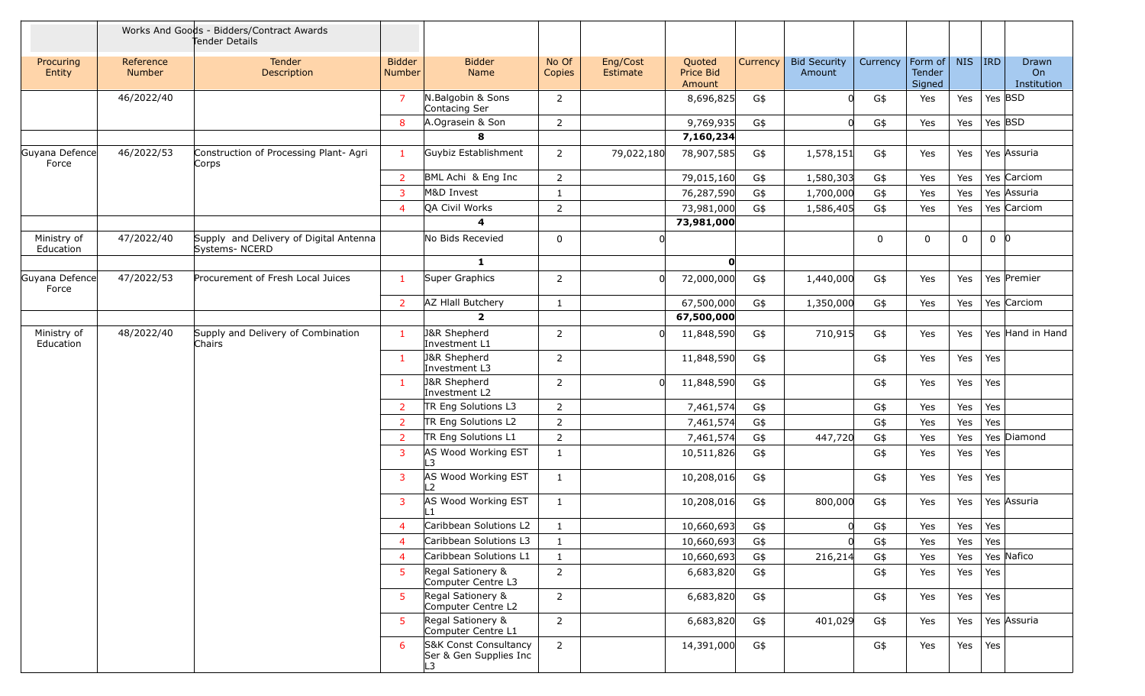|                          | Works And Goods - Bidders/Contract Awards<br>Tender Details |                                                         |                         |                                                       |                 |                      |                               |          |                               |          |                             |            |         |                            |
|--------------------------|-------------------------------------------------------------|---------------------------------------------------------|-------------------------|-------------------------------------------------------|-----------------|----------------------|-------------------------------|----------|-------------------------------|----------|-----------------------------|------------|---------|----------------------------|
| Procuring<br>Entity      | Reference<br>Number                                         | Tender<br>Description                                   | <b>Bidder</b><br>Number | <b>Bidder</b><br>Name                                 | No Of<br>Copies | Eng/Cost<br>Estimate | Quoted<br>Price Bid<br>Amount | Currency | <b>Bid Security</b><br>Amount | Currency | Form of<br>Tender<br>Signed | <b>NIS</b> | $ $ IRD | Drawn<br>On<br>Institution |
|                          | 46/2022/40                                                  |                                                         | $\overline{7}$          | N.Balgobin & Sons<br>Contacing Ser                    | $\overline{2}$  |                      | 8,696,825                     | G\$      | O.                            | G\$      | Yes                         | Yes        | Yes BSD |                            |
|                          |                                                             |                                                         | 8                       | A.Ograsein & Son                                      | $\overline{2}$  |                      | 9,769,935                     | G\$      |                               | G\$      | Yes                         | Yes        | Yes BSD |                            |
|                          |                                                             |                                                         |                         | 8                                                     |                 |                      | 7,160,234                     |          |                               |          |                             |            |         |                            |
| Guyana Defence<br>Force  | 46/2022/53                                                  | Construction of Processing Plant- Agri<br>Corps         | $\mathbf{1}$            | Guybiz Establishment                                  | $\overline{2}$  | 79,022,180           | 78,907,585                    | G\$      | 1,578,151                     | G\$      | Yes                         | Yes        |         | Yes Assuria                |
|                          |                                                             |                                                         | $\overline{2}$          | BML Achi & Eng Inc                                    | 2               |                      | 79,015,160                    | G\$      | 1,580,303                     | G\$      | Yes                         | Yes        |         | Yes Carciom                |
|                          |                                                             |                                                         | 3                       | M&D Invest                                            | 1               |                      | 76,287,590                    | G\$      | 1,700,000                     | G\$      | Yes                         | Yes        |         | Yes Assuria                |
|                          |                                                             |                                                         | 4                       | QA Civil Works                                        | $\overline{2}$  |                      | 73,981,000                    | G\$      | 1,586,405                     | G\$      | Yes                         | Yes        |         | Yes Carciom                |
|                          |                                                             |                                                         |                         | 4                                                     |                 |                      | 73,981,000                    |          |                               |          |                             |            |         |                            |
| Ministry of<br>Education | 47/2022/40                                                  | Supply and Delivery of Digital Antenna<br>Systems-NCERD |                         | No Bids Recevied                                      | $\mathbf 0$     |                      |                               |          |                               | 0        | $\mathbf 0$                 | 0          | $0$ 0   |                            |
|                          |                                                             |                                                         |                         | $\mathbf{1}$                                          |                 |                      | $\mathbf{0}$                  |          |                               |          |                             |            |         |                            |
| Guyana Defence<br>Force  | 47/2022/53                                                  | Procurement of Fresh Local Juices                       | $\mathbf{1}$            | Super Graphics                                        | $\overline{2}$  | U                    | 72,000,000                    | G\$      | 1,440,000                     | G\$      | Yes                         | Yes        |         | Yes Premier                |
|                          |                                                             |                                                         | $\overline{2}$          | AZ HIall Butchery                                     | 1               |                      | 67,500,000                    | G\$      | 1,350,000                     | G\$      | Yes                         | Yes        |         | Yes Carciom                |
|                          |                                                             |                                                         |                         | $\overline{2}$                                        |                 |                      | 67,500,000                    |          |                               |          |                             |            |         |                            |
| Ministry of<br>Education | 48/2022/40                                                  | Supply and Delivery of Combination<br>Chairs            | -1                      | <b>J&amp;R Shepherd</b><br>Investment L1              | $\overline{2}$  | 0l                   | 11,848,590                    | G\$      | 710,915                       | G\$      | Yes                         | Yes        |         | Yes Hand in Hand           |
|                          |                                                             |                                                         | $\mathbf{1}$            | J&R Shepherd<br>Investment L3                         | $\overline{2}$  |                      | 11,848,590                    | G\$      |                               | G\$      | Yes                         | Yes        | Yes     |                            |
|                          |                                                             |                                                         | 1.                      | J&R Shepherd<br>Investment L2                         | $\overline{2}$  | U                    | 11,848,590                    | G\$      |                               | G\$      | Yes                         | Yes        | Yes     |                            |
|                          |                                                             |                                                         | $\overline{2}$          | TR Eng Solutions L3                                   | $\overline{2}$  |                      | 7,461,574                     | G\$      |                               | G\$      | Yes                         | Yes        | Yes     |                            |
|                          |                                                             |                                                         | 2                       | TR Eng Solutions L2                                   | $\overline{2}$  |                      | 7,461,574                     | G\$      |                               | G\$      | Yes                         | Yes        | Yes     |                            |
|                          |                                                             |                                                         | $\overline{2}$          | TR Eng Solutions L1                                   | $\overline{2}$  |                      | 7,461,574                     | G\$      | 447,720                       | G\$      | Yes                         | Yes        |         | Yes Diamond                |
|                          |                                                             |                                                         | 3                       | AS Wood Working EST<br>L3                             | 1               |                      | 10,511,826                    | G\$      |                               | G\$      | Yes                         | Yes        | Yes     |                            |
|                          |                                                             |                                                         | 3                       | AS Wood Working EST<br>- 2                            | $\mathbf{1}$    |                      | 10,208,016                    | G\$      |                               | G\$      | Yes                         | Yes        | Yes     |                            |
|                          |                                                             |                                                         | 3                       | AS Wood Working EST<br>$\mathbf{1}$                   | $\mathbf{1}$    |                      | 10,208,016                    | G\$      | 800,000                       | G\$      | Yes                         | Yes        |         | Yes Assuria                |
|                          |                                                             |                                                         | $\overline{4}$          | Caribbean Solutions L2                                | $\mathbf{1}$    |                      | 10,660,693                    | G\$      | U                             | G\$      | Yes                         | Yes        | Yes     |                            |
|                          |                                                             |                                                         | 4                       | Caribbean Solutions L3                                | 1               |                      | 10,660,693                    | G\$      | 0l                            | G\$      | Yes                         | Yes        | Yes     |                            |
|                          |                                                             |                                                         | 4                       | Caribbean Solutions L1                                | $\mathbf{1}$    |                      | 10,660,693                    | G\$      | 216,214                       | G\$      | Yes                         | Yes        |         | Yes Nafico                 |
|                          |                                                             |                                                         | 5.                      | Regal Sationery &<br>Computer Centre L3               | $\overline{2}$  |                      | 6,683,820                     | G\$      |                               | G\$      | Yes                         | Yes        | Yes     |                            |
|                          |                                                             |                                                         | 5.                      | Regal Sationery &<br>Computer Centre L2               | $\overline{2}$  |                      | 6,683,820                     | G\$      |                               | G\$      | Yes                         | Yes        | Yes     |                            |
|                          |                                                             |                                                         | 5.                      | Regal Sationery &<br>Computer Centre L1               | $\overline{2}$  |                      | 6,683,820                     | G\$      | 401,029                       | G\$      | Yes                         | Yes        |         | Yes Assuria                |
|                          |                                                             |                                                         | 6                       | S&K Const Consultancy<br>Ser & Gen Supplies Inc<br>L3 | $\overline{2}$  |                      | 14,391,000                    | G\$      |                               | G\$      | Yes                         | Yes        | Yes     |                            |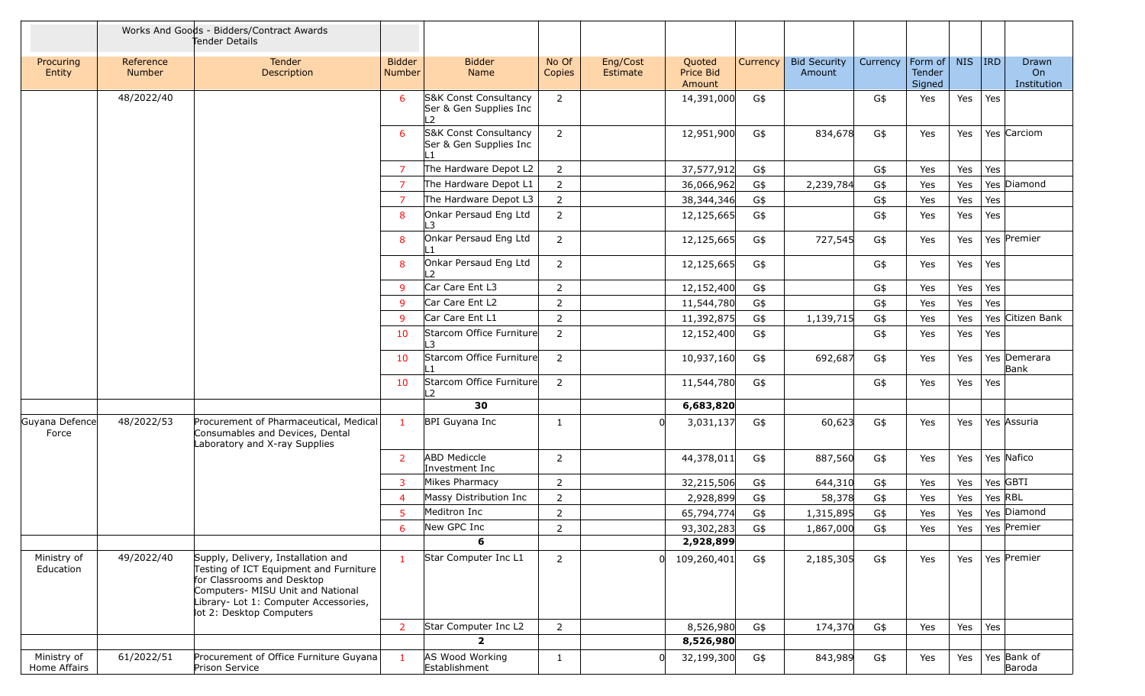|                             |                     | Works And Goods - Bidders/Contract Awards<br>Tender Details                                                                                                                                                          |                         |                                                       |                 |                      |                               |          |                               |          |                             |            |         |                            |
|-----------------------------|---------------------|----------------------------------------------------------------------------------------------------------------------------------------------------------------------------------------------------------------------|-------------------------|-------------------------------------------------------|-----------------|----------------------|-------------------------------|----------|-------------------------------|----------|-----------------------------|------------|---------|----------------------------|
| Procuring<br>Entity         | Reference<br>Number | Tender<br>Description                                                                                                                                                                                                | <b>Bidder</b><br>Number | <b>Bidder</b><br>Name                                 | No Of<br>Copies | Eng/Cost<br>Estimate | Quoted<br>Price Bid<br>Amount | Currency | <b>Bid Security</b><br>Amount | Currency | Form of<br>Tender<br>Signed | <b>NIS</b> | $ $ IRD | Drawn<br>On<br>Institution |
|                             | 48/2022/40          |                                                                                                                                                                                                                      | 6                       | S&K Const Consultancy<br>Ser & Gen Supplies Inc<br>L2 | $\overline{2}$  |                      | 14,391,000                    | G\$      |                               | G\$      | Yes                         | Yes        | Yes     |                            |
|                             |                     |                                                                                                                                                                                                                      | -6                      | S&K Const Consultancy<br>Ser & Gen Supplies Inc       | $\overline{2}$  |                      | 12,951,900                    | G\$      | 834,678                       | G\$      | Yes                         | Yes        |         | Yes Carciom                |
|                             |                     |                                                                                                                                                                                                                      | -7                      | The Hardware Depot L2                                 | $\overline{2}$  |                      | 37,577,912                    | G\$      |                               | G\$      | Yes                         | Yes        | Yes     |                            |
|                             |                     |                                                                                                                                                                                                                      | $\overline{7}$          | The Hardware Depot L1                                 | $\overline{2}$  |                      | 36,066,962                    | G\$      | 2,239,784                     | G\$      | Yes                         | Yes        |         | Yes Diamond                |
|                             |                     |                                                                                                                                                                                                                      | $\overline{7}$          | The Hardware Depot L3                                 | $\overline{2}$  |                      | 38,344,346                    | G\$      |                               | G\$      | Yes                         | Yes        | Yes     |                            |
|                             |                     |                                                                                                                                                                                                                      | 8                       | Onkar Persaud Eng Ltd<br>L3                           | $\overline{2}$  |                      | 12,125,665                    | G\$      |                               | G\$      | Yes                         | Yes        | Yes     |                            |
|                             |                     |                                                                                                                                                                                                                      | 8                       | Onkar Persaud Eng Ltd                                 | $\overline{2}$  |                      | 12,125,665                    | G\$      | 727,545                       | G\$      | Yes                         | Yes        |         | Yes Premier                |
|                             |                     |                                                                                                                                                                                                                      | 8                       | Onkar Persaud Eng Ltd<br>L <sub>2</sub>               | $\overline{2}$  |                      | 12,125,665                    | G\$      |                               | G\$      | Yes                         | Yes        | Yes     |                            |
|                             |                     |                                                                                                                                                                                                                      | 9                       | Car Care Ent L3                                       | $\overline{2}$  |                      | 12,152,400                    | G\$      |                               | G\$      | Yes                         | Yes        | Yes     |                            |
|                             |                     |                                                                                                                                                                                                                      | -9                      | Car Care Ent L2                                       | $\overline{2}$  |                      | 11,544,780                    | G\$      |                               | G\$      | Yes                         | Yes        | Yes     |                            |
|                             |                     |                                                                                                                                                                                                                      | -9                      | Car Care Ent L1                                       | $\overline{2}$  |                      | 11,392,875                    | G\$      | 1,139,715                     | G\$      | Yes                         | Yes        |         | Yes Citizen Bank           |
|                             |                     |                                                                                                                                                                                                                      | 10                      | Starcom Office Furniture<br>L3                        | $\overline{2}$  |                      | 12,152,400                    | G\$      |                               | G\$      | Yes                         | Yes        | Yes     |                            |
|                             |                     |                                                                                                                                                                                                                      | 10                      | Starcom Office Furniture<br>∣ 1                       | $\overline{2}$  |                      | 10,937,160                    | G\$      | 692,687                       | G\$      | Yes                         | Yes        |         | Yes Demerara<br>Bank       |
|                             |                     |                                                                                                                                                                                                                      | 10                      | Starcom Office Furniture<br>L2                        | $\overline{2}$  |                      | 11,544,780                    | G\$      |                               | G\$      | Yes                         | Yes        | Yes     |                            |
|                             |                     |                                                                                                                                                                                                                      |                         | 30                                                    |                 |                      | 6,683,820                     |          |                               |          |                             |            |         |                            |
| Guyana Defence<br>Force     | 48/2022/53          | Procurement of Pharmaceutical, Medical<br>Consumables and Devices, Dental<br>Laboratory and X-ray Supplies                                                                                                           | $\mathbf{1}$            | BPI Guyana Inc                                        | $\mathbf{1}$    |                      | 3,031,137                     | G\$      | 60,623                        | G\$      | Yes                         | Yes        |         | Yes Assuria                |
|                             |                     |                                                                                                                                                                                                                      | 2                       | <b>ABD Mediccle</b><br>Investment Inc                 | $\overline{2}$  |                      | 44,378,011                    | G\$      | 887,560                       | G\$      | Yes                         | Yes        |         | Yes Nafico                 |
|                             |                     |                                                                                                                                                                                                                      | 3                       | Mikes Pharmacy                                        | $\overline{2}$  |                      | 32,215,506                    | G\$      | 644,310                       | G\$      | Yes                         | Yes        |         | Yes GBTI                   |
|                             |                     |                                                                                                                                                                                                                      | $\overline{4}$          | Massy Distribution Inc                                | $\overline{2}$  |                      | 2,928,899                     | G\$      | 58,378                        | G\$      | Yes                         | Yes        | Yes RBL |                            |
|                             |                     |                                                                                                                                                                                                                      | 5                       | Meditron Inc                                          | $\overline{2}$  |                      | 65,794,774                    | G\$      | 1,315,895                     | G\$      | Yes                         | Yes        |         | Yes Diamond                |
|                             |                     |                                                                                                                                                                                                                      | 6                       | New GPC Inc                                           | $\overline{2}$  |                      | 93,302,283                    | G\$      | 1,867,000                     | G\$      | Yes                         | Yes        |         | Yes Premier                |
|                             |                     |                                                                                                                                                                                                                      |                         | 6                                                     |                 |                      | 2,928,899                     |          |                               |          |                             |            |         |                            |
| Ministry of<br>Education    | 49/2022/40          | Supply, Delivery, Installation and<br>Testing of ICT Equipment and Furniture<br>for Classrooms and Desktop<br>Computers- MISU Unit and National<br>Library- Lot 1: Computer Accessories,<br>lot 2: Desktop Computers | $\mathbf{1}$            | Star Computer Inc L1                                  | $\overline{2}$  |                      | 109,260,401                   | G\$      | 2,185,305                     | G\$      | Yes                         | Yes        |         | Yes Premier                |
|                             |                     |                                                                                                                                                                                                                      | $\overline{2}$          | Star Computer Inc L2                                  | $\overline{2}$  |                      | 8,526,980                     | G\$      | 174,370                       | G\$      | Yes                         | Yes        | Yes     |                            |
|                             |                     |                                                                                                                                                                                                                      |                         | $\overline{\mathbf{2}}$                               |                 |                      | 8,526,980                     |          |                               |          |                             |            |         |                            |
| Ministry of<br>Home Affairs | 61/2022/51          | Procurement of Office Furniture Guyana<br>Prison Service                                                                                                                                                             |                         | AS Wood Working<br>Establishment                      | $\mathbf{1}$    |                      | 32,199,300                    | G\$      | 843,989                       | G\$      | Yes                         | Yes        |         | Yes Bank of<br>Baroda      |